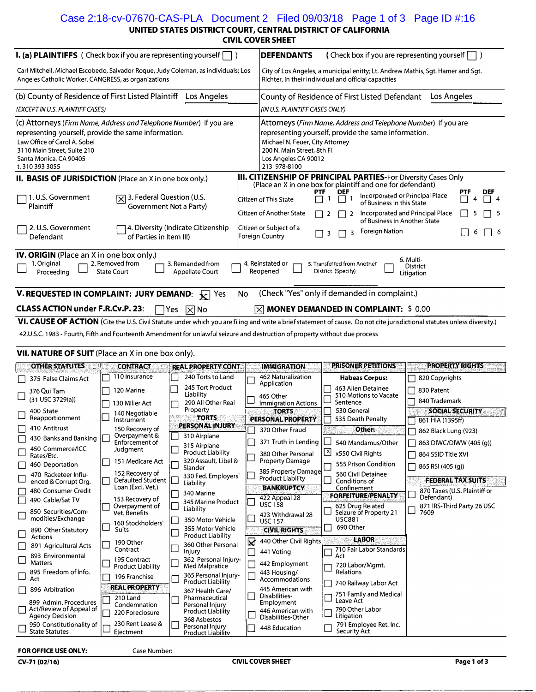### Case 2:18-cv-07670-CAS-PLA Document 2 Filed 09/03/18 Page 1 of 3 Page ID #:16

**UNITED STATES DISTRICT COURT, CENTRAL DISTRICT OF CALIFORNIA** 

| <b>CIVIL COVER SHEET</b> |  |  |
|--------------------------|--|--|
|                          |  |  |

| <b>I. (a) PLAINTIFFS</b> ( Check box if you are representing yourself $\Box$ )                                                                                                                                                                                                                                                                                |  |                                                                                            |     |                                                      |                                                                                                                                                                                                                                  | <b>DEFENDANTS</b><br>(Check box if you are representing yourself                                                                                                             |              |                                   |                                                                                                                                                           |             |                                               |   |           |
|---------------------------------------------------------------------------------------------------------------------------------------------------------------------------------------------------------------------------------------------------------------------------------------------------------------------------------------------------------------|--|--------------------------------------------------------------------------------------------|-----|------------------------------------------------------|----------------------------------------------------------------------------------------------------------------------------------------------------------------------------------------------------------------------------------|------------------------------------------------------------------------------------------------------------------------------------------------------------------------------|--------------|-----------------------------------|-----------------------------------------------------------------------------------------------------------------------------------------------------------|-------------|-----------------------------------------------|---|-----------|
| Carl Mitchell, Michael Escobedo, Salvador Roque, Judy Coleman, as individuals; Los<br>Angeles Catholic Worker, CANGRESS, as organizations                                                                                                                                                                                                                     |  |                                                                                            |     |                                                      |                                                                                                                                                                                                                                  | City of Los Angeles, a municipal enitty; Lt. Andrew Mathis, Sgt. Hamer and Sgt.<br>Richter, in their individual and official capacities                                      |              |                                   |                                                                                                                                                           |             |                                               |   |           |
| (b) County of Residence of First Listed Plaintiff Los Angeles                                                                                                                                                                                                                                                                                                 |  |                                                                                            |     |                                                      | County of Residence of First Listed Defendant                                                                                                                                                                                    |                                                                                                                                                                              |              |                                   |                                                                                                                                                           | Los Angeles |                                               |   |           |
| (EXCEPT IN U.S. PLAINTIFF CASES)                                                                                                                                                                                                                                                                                                                              |  |                                                                                            |     |                                                      | (IN U.S. PLAINTIFF CASES ONLY)                                                                                                                                                                                                   |                                                                                                                                                                              |              |                                   |                                                                                                                                                           |             |                                               |   |           |
| (c) Attorneys (Firm Name, Address and Telephone Number) If you are<br>representing yourself, provide the same information.<br>Law Office of Carol A. Sobel<br>3110 Main Street, Suite 210<br>Santa Monica, CA 90405<br>t. 310 393 3055                                                                                                                        |  |                                                                                            |     |                                                      | Attorneys (Firm Name, Address and Telephone Number) If you are<br>representing yourself, provide the same information.<br>Michael N. Feuer, City Attorney<br>200 N. Main Street, 8th Fl.<br>Los Angeles CA 90012<br>213 978-8100 |                                                                                                                                                                              |              |                                   |                                                                                                                                                           |             |                                               |   |           |
| II. BASIS OF JURISDICTION (Place an X in one box only.)                                                                                                                                                                                                                                                                                                       |  |                                                                                            |     |                                                      |                                                                                                                                                                                                                                  | <b>III. CITIZENSHIP OF PRINCIPAL PARTIES-For Diversity Cases Only</b>                                                                                                        |              |                                   |                                                                                                                                                           |             |                                               |   |           |
| 1. U.S. Government<br>Plaintiff<br>2. U.S. Government<br>Defendant                                                                                                                                                                                                                                                                                            |  | $\sqrt{2}$ 3. Federal Question (U.S.<br>Government Not a Party)<br>of Parties in Item III) |     | 4. Diversity (Indicate Citizenship                   |                                                                                                                                                                                                                                  | (Place an X in one box for plaintiff and one for defendant)<br><b>PTF</b><br>Citizen of This State<br>Citizen of Another State<br>Citizen or Subject of a<br>Foreign Country | 2<br>3       | <b>DEF</b><br>$\overline{2}$<br>3 | Incorporated or Principal Place<br>of Business in this State<br>Incorporated and Principal Place<br>of Business in Another State<br><b>Foreign Nation</b> |             |                                               | 6 | DEF<br>-6 |
|                                                                                                                                                                                                                                                                                                                                                               |  |                                                                                            |     |                                                      |                                                                                                                                                                                                                                  |                                                                                                                                                                              |              |                                   |                                                                                                                                                           |             |                                               |   |           |
| <b>IV. ORIGIN</b> (Place an X in one box only.)<br>6. Multi-<br>2. Removed from<br>1. Original<br>3. Remanded from<br>4. Reinstated or<br>5. Transferred from Another<br>District<br>Reopened<br>District (Specify)<br>Proceeding<br><b>State Court</b><br>Appellate Court<br>Litigation                                                                      |  |                                                                                            |     |                                                      |                                                                                                                                                                                                                                  |                                                                                                                                                                              |              |                                   |                                                                                                                                                           |             |                                               |   |           |
| <b>V. REQUESTED IN COMPLAINT: JURY DEMAND:</b> $\sqrt{x}$ Yes                                                                                                                                                                                                                                                                                                 |  |                                                                                            |     |                                                      | <b>No</b>                                                                                                                                                                                                                        | (Check "Yes" only if demanded in complaint.)                                                                                                                                 |              |                                   |                                                                                                                                                           |             |                                               |   |           |
| <b>CLASS ACTION under F.R.Cv.P. 23:</b>                                                                                                                                                                                                                                                                                                                       |  |                                                                                            | Yes | $\mathbb{R}$ No                                      |                                                                                                                                                                                                                                  | $[\times]$ MONEY DEMANDED IN COMPLAINT: \$ 0.00                                                                                                                              |              |                                   |                                                                                                                                                           |             |                                               |   |           |
| VI. CAUSE OF ACTION (Cite the U.S. Civil Statute under which you are filing and write a brief statement of cause. Do not cite jurisdictional statutes unless diversity.)<br>42.U.S.C. 1983 - Fourth, Fifth and Fourteenth Amendment for unlawful seizure and destruction of property without due process<br>VII. NATURE OF SUIT (Place an X in one box only). |  |                                                                                            |     |                                                      |                                                                                                                                                                                                                                  |                                                                                                                                                                              |              |                                   |                                                                                                                                                           |             |                                               |   |           |
|                                                                                                                                                                                                                                                                                                                                                               |  |                                                                                            |     |                                                      |                                                                                                                                                                                                                                  |                                                                                                                                                                              |              |                                   |                                                                                                                                                           |             |                                               |   |           |
|                                                                                                                                                                                                                                                                                                                                                               |  |                                                                                            |     |                                                      |                                                                                                                                                                                                                                  |                                                                                                                                                                              |              |                                   | PRISONER PETITIONS                                                                                                                                        |             | <b>PROPERTY RIGHTS</b>                        |   |           |
| <b>OTHER STATUTES</b>                                                                                                                                                                                                                                                                                                                                         |  | <b>CONTRACT</b><br>110 Insurance                                                           |     | <b>REAL PROPERTY CONT.</b><br>240 Torts to Land      |                                                                                                                                                                                                                                  | <b>IMMIGRATION</b><br>462 Naturalization                                                                                                                                     |              |                                   |                                                                                                                                                           |             |                                               |   |           |
| 375 False Claims Act<br>376 Oui Tam<br>(31 USC 3729(a))                                                                                                                                                                                                                                                                                                       |  | 120 Marine<br>130 Miller Act                                                               |     | 245 Tort Product<br>Liability<br>290 All Other Real  |                                                                                                                                                                                                                                  | Application<br>465 Other<br><b>Immigration Actions</b>                                                                                                                       |              | Sentence                          | <b>Habeas Corpus:</b><br>463 Alien Detainee<br>510 Motions to Vacate                                                                                      |             | 820 Copyrights<br>830 Patent<br>840 Trademark |   |           |
| 400 State                                                                                                                                                                                                                                                                                                                                                     |  | 140 Negotiable                                                                             |     | Property<br><b>TORTS</b>                             |                                                                                                                                                                                                                                  | <b>TORTS</b>                                                                                                                                                                 |              | 530 General                       |                                                                                                                                                           |             | <b>SOCIAL SECURITY</b>                        |   |           |
| Reapportionment<br>410 Antitrust                                                                                                                                                                                                                                                                                                                              |  | Instrument<br>150 Recovery of                                                              |     | PERSONAL INJURY                                      |                                                                                                                                                                                                                                  | PERSONAL PROPERTY<br>370 Other Fraud                                                                                                                                         |              |                                   | 535 Death Penalty<br>Other:                                                                                                                               |             | 861 HIA (1395ff)                              |   |           |
| 430 Banks and Banking                                                                                                                                                                                                                                                                                                                                         |  | $\Box$ Overpayment &<br>Enforcement of                                                     | ᄂ   | 310 Airplane                                         |                                                                                                                                                                                                                                  | 371 Truth in Lending                                                                                                                                                         |              |                                   | 540 Mandamus/Other                                                                                                                                        |             | 862 Black Lung (923)                          |   |           |
| 450 Commerce/ICC<br>Rates/Etc.                                                                                                                                                                                                                                                                                                                                |  | Judgment                                                                                   |     | 315 Airplane<br><b>Product Liability</b>             |                                                                                                                                                                                                                                  | 380 Other Personal                                                                                                                                                           | $\mathsf{X}$ |                                   | x550 Civil Rights                                                                                                                                         |             | 863 DIWC/DIWW (405 (q))<br>864 SSID Title XVI |   |           |
| 460 Deportation                                                                                                                                                                                                                                                                                                                                               |  | 151 Medicare Act                                                                           |     | 320 Assault, Libel &                                 |                                                                                                                                                                                                                                  | <b>Property Damage</b>                                                                                                                                                       |              |                                   | 555 Prison Condition                                                                                                                                      |             | 865 RSI (405 (g))                             |   |           |
| 470 Racketeer Influ-                                                                                                                                                                                                                                                                                                                                          |  | 152 Recovery of                                                                            |     | Slander<br>330 Fed. Employers'                       |                                                                                                                                                                                                                                  | 385 Property Damage<br>Product Liability                                                                                                                                     |              |                                   | 560 Civil Detainee                                                                                                                                        |             | <b>FEDERAL TAX SUITS</b>                      |   |           |
| enced & Corrupt Org.<br>480 Consumer Credit                                                                                                                                                                                                                                                                                                                   |  | Defaulted Student  <br>Loan (Excl. Vet.)                                                   |     | Liability                                            |                                                                                                                                                                                                                                  | <b>BANKRUPTCY</b>                                                                                                                                                            |              | Conditions of<br>Confinement      |                                                                                                                                                           |             | 870 Taxes (U.S. Plaintiff or                  |   |           |
| 490 Cable/Sat TV                                                                                                                                                                                                                                                                                                                                              |  | 153 Recovery of                                                                            |     | 340 Marine<br>345 Marine Product                     |                                                                                                                                                                                                                                  | 422 Appeal 28<br><b>USC 158</b>                                                                                                                                              |              |                                   | FORFEITURE/PENALTY<br>625 Drug Related                                                                                                                    |             | Defendant)                                    |   |           |
| 850 Securities/Com-                                                                                                                                                                                                                                                                                                                                           |  | Overpayment of<br>Vet. Benefits                                                            |     | Liability                                            |                                                                                                                                                                                                                                  | 423 Withdrawal 28                                                                                                                                                            |              |                                   | Seizure of Property 21                                                                                                                                    |             | 871 IRS-Third Party 26 USC<br>7609            |   |           |
| modities/Exchange<br>890 Other Statutory                                                                                                                                                                                                                                                                                                                      |  | 160 Stockholders'<br><b>Suits</b>                                                          |     | 350 Motor Vehicle<br>355 Motor Vehicle               |                                                                                                                                                                                                                                  | <b>USC 157</b><br><b>CIVIL RIGHTS</b>                                                                                                                                        |              | <b>USC881</b><br>690 Other        |                                                                                                                                                           |             |                                               |   |           |
| Actions                                                                                                                                                                                                                                                                                                                                                       |  | 190 Other                                                                                  |     | <b>Product Liability</b><br>360 Other Personal       | ⊠                                                                                                                                                                                                                                | 440 Other Civil Rights                                                                                                                                                       |              |                                   | <b>LABOR</b>                                                                                                                                              |             |                                               |   |           |
| 891 Agricultural Acts<br>893 Environmental                                                                                                                                                                                                                                                                                                                    |  | Contract                                                                                   |     | Injury                                               |                                                                                                                                                                                                                                  | 441 Voting                                                                                                                                                                   |              | Act                               | 710 Fair Labor Standards                                                                                                                                  |             |                                               |   |           |
| <b>Matters</b>                                                                                                                                                                                                                                                                                                                                                |  | 195 Contract<br><b>Product Liability</b>                                                   |     | 362 Personal Injury-<br>Med Malpratice               |                                                                                                                                                                                                                                  | 442 Employment                                                                                                                                                               |              |                                   | 720 Labor/Mgmt.                                                                                                                                           |             |                                               |   |           |
| 895 Freedom of Info.<br>Act                                                                                                                                                                                                                                                                                                                                   |  | 196 Franchise                                                                              |     | 365 Personal Injury-<br><b>Product Liability</b>     |                                                                                                                                                                                                                                  | 443 Housing/<br>Accommodations                                                                                                                                               |              | Relations                         | 740 Railway Labor Act                                                                                                                                     |             |                                               |   |           |
| 896 Arbitration                                                                                                                                                                                                                                                                                                                                               |  | <b>REAL PROPERTY</b>                                                                       |     | 367 Health Care/                                     |                                                                                                                                                                                                                                  | 445 American with<br>Disabilities-                                                                                                                                           |              |                                   | 751 Family and Medical                                                                                                                                    |             |                                               |   |           |
| 899 Admin, Procedures                                                                                                                                                                                                                                                                                                                                         |  | 210 Land<br>Condemnation                                                                   |     | Pharmaceutical<br>Personal Injury                    |                                                                                                                                                                                                                                  | Employment                                                                                                                                                                   |              | Leave Act                         | 790 Other Labor                                                                                                                                           |             |                                               |   |           |
| Act/Review of Appeal of<br><b>Agency Decision</b><br>950 Constitutionality of                                                                                                                                                                                                                                                                                 |  | 220 Foreclosure<br>230 Rent Lease &                                                        |     | Product Liability<br>368 Asbestos<br>Personal Injury |                                                                                                                                                                                                                                  | 446 American with<br>Disabilities-Other<br>448 Education                                                                                                                     |              | Litigation                        | 791 Employee Ret. Inc.                                                                                                                                    |             |                                               |   |           |

| <b>FOR OFFICE USE ONLY:</b> |  |  |
|-----------------------------|--|--|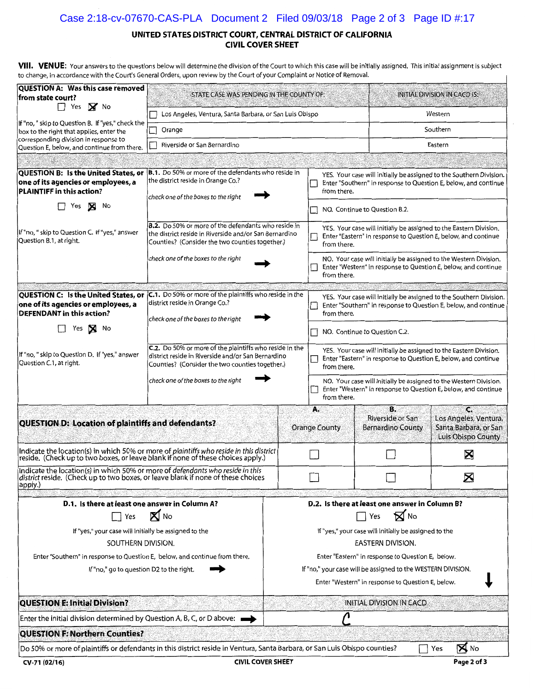## Case 2:18-cv-07670-CAS-PLA Document 2 Filed 09/03/18 Page 2 of 3 Page ID #:17

#### UNITED STATES DISTRICT COURT, CENTRAL DISTRICT OF CALIFORNIA **CIVIL COVER SHEET**

VIII. VENUE: Your answers to the questions below will determine the division of the Court to which this case will be initially assigned. This initial assignment is subject to change, in accordance with the Court's General Orders, upon review by the Court of your Complaint or Notice of Removal.

| <b>QUESTION A: Was this case removed</b>                                                                                                                                                                                                             | to change, in accordance with the Court's General Orders, upon review by the Court of your Complaint or Notice of Removal.                                                         |                                                                                                                                                       |                                                                                                                                                       |                                                    |                                                                           |  |  |
|------------------------------------------------------------------------------------------------------------------------------------------------------------------------------------------------------------------------------------------------------|------------------------------------------------------------------------------------------------------------------------------------------------------------------------------------|-------------------------------------------------------------------------------------------------------------------------------------------------------|-------------------------------------------------------------------------------------------------------------------------------------------------------|----------------------------------------------------|---------------------------------------------------------------------------|--|--|
| from state court?<br>$\Box$ Yes $\boxtimes$ No                                                                                                                                                                                                       | STATE CASE WAS PENDING IN THE COUNTY OF:                                                                                                                                           |                                                                                                                                                       | <b>INITIAL DIVISION IN CACD IS:</b>                                                                                                                   |                                                    |                                                                           |  |  |
| If "no, " skip to Question B. If "yes," check the                                                                                                                                                                                                    | Los Angeles, Ventura, Santa Barbara, or San Luis Obispo                                                                                                                            |                                                                                                                                                       | Western                                                                                                                                               |                                                    |                                                                           |  |  |
| box to the right that applies, enter the                                                                                                                                                                                                             | Orange                                                                                                                                                                             |                                                                                                                                                       |                                                                                                                                                       |                                                    | Southern                                                                  |  |  |
| corresponding division in response to<br>Question E, below, and continue from there.                                                                                                                                                                 | Riverside or San Bernardino                                                                                                                                                        |                                                                                                                                                       | Eastern                                                                                                                                               |                                                    |                                                                           |  |  |
|                                                                                                                                                                                                                                                      |                                                                                                                                                                                    |                                                                                                                                                       |                                                                                                                                                       |                                                    |                                                                           |  |  |
| QUESTION B: Is the United States, or<br>one of its agencies or employees, a<br>PLAINTIFF in this action?                                                                                                                                             | B.1. Do 50% or more of the defendants who reside in<br>the district reside in Orange Co.?<br>check one of the boxes to the right                                                   |                                                                                                                                                       | YES. Your case will initially be assigned to the Southern Division.<br>Enter "Southern" in response to Question E, below, and continue<br>from there. |                                                    |                                                                           |  |  |
| Yes<br>×<br>No                                                                                                                                                                                                                                       |                                                                                                                                                                                    |                                                                                                                                                       |                                                                                                                                                       | NO. Continue to Question B.2.                      |                                                                           |  |  |
| If "no, " skip to Question C. If "yes," answer<br>Question B.1, at right.                                                                                                                                                                            | <b>B.2.</b> Do 50% or more of the defendants who reside in<br>the district reside in Riverside and/or San Bernardino<br>Counties? (Consider the two counties together.)            | YES. Your case will initially be assigned to the Eastern Division.<br>Enter "Eastern" in response to Question E, below, and continue<br>from there.   |                                                                                                                                                       |                                                    |                                                                           |  |  |
|                                                                                                                                                                                                                                                      | check one of the boxes to the right                                                                                                                                                | NO. Your case will initially be assigned to the Western Division.<br>Enter "Western" in response to Question E, below, and continue<br>from there.    |                                                                                                                                                       |                                                    |                                                                           |  |  |
| <b>QUESTION C: Is the United States, or</b><br>one of its agencies or employees, a<br><b>DEFENDANT</b> in this action?                                                                                                                               | C.1. Do 50% or more of the plaintiffs who reside in the<br>district reside in Orange Co.?<br>check one of the boxes to the right                                                   | YES. Your case will initially be assigned to the Southern Division.<br>Enter "Southern" in response to Question E, below, and continue<br>from there. |                                                                                                                                                       |                                                    |                                                                           |  |  |
| Yes<br>No                                                                                                                                                                                                                                            |                                                                                                                                                                                    | NO. Continue to Question C.2.<br>$\Box$                                                                                                               |                                                                                                                                                       |                                                    |                                                                           |  |  |
| <b>C.2.</b> Do 50% or more of the plaintiffs who reside in the<br>If "no, " skip to Question D. If "yes," answer<br>district reside in Riverside and/or San Bernardino<br>Question C.1, at right.<br>Counties? (Consider the two counties together.) |                                                                                                                                                                                    |                                                                                                                                                       | YES. Your case will initially be assigned to the Eastern Division.<br>Enter "Eastern" in response to Question E, below, and continue<br>from there.   |                                                    |                                                                           |  |  |
|                                                                                                                                                                                                                                                      | check one of the boxes to the right                                                                                                                                                | NO. Your case will initially be assigned to the Western Division.<br>Enter "Western" in response to Question E, below, and continue<br>from there.    |                                                                                                                                                       |                                                    |                                                                           |  |  |
| QUESTION D: Location of plaintiffs and defendants?                                                                                                                                                                                                   |                                                                                                                                                                                    |                                                                                                                                                       | А.<br><b>Orange County</b>                                                                                                                            | В.<br>Riverside or San<br><b>Bernardino County</b> | G<br>Los Angeles, Ventura,<br>Santa Barbara, or San<br>Luis Obispo County |  |  |
|                                                                                                                                                                                                                                                      | Indicate the location(s) in which 50% or more of <i>plaintiffs who reside in this district</i><br> reside. (Check up to two boxes, or leave blank if none of these choices apply.) |                                                                                                                                                       |                                                                                                                                                       |                                                    | X                                                                         |  |  |
| Indicate the location(s) in which 50% or more of defendants who reside in this<br>district reside. (Check up to two boxes, or leave blank if none of these choices<br>apply.)                                                                        |                                                                                                                                                                                    |                                                                                                                                                       |                                                                                                                                                       |                                                    | $\boxtimes$                                                               |  |  |
| D.1. Is there at least one answer in Column A?                                                                                                                                                                                                       |                                                                                                                                                                                    |                                                                                                                                                       |                                                                                                                                                       | D.2. Is there at least one answer in Column B?     |                                                                           |  |  |
| Yes                                                                                                                                                                                                                                                  | X No                                                                                                                                                                               |                                                                                                                                                       |                                                                                                                                                       | $\mathbf{\nabla}$ No<br>Yes                        |                                                                           |  |  |
| If "yes," your case will initially be assigned to the                                                                                                                                                                                                |                                                                                                                                                                                    | If "yes," your case will initially be assigned to the                                                                                                 |                                                                                                                                                       |                                                    |                                                                           |  |  |
| SOUTHERN DIVISION.                                                                                                                                                                                                                                   |                                                                                                                                                                                    | EASTERN DIVISION.                                                                                                                                     |                                                                                                                                                       |                                                    |                                                                           |  |  |
| Enter "Southern" in response to Question E, below, and continue from there.                                                                                                                                                                          |                                                                                                                                                                                    | Enter "Eastern" in response to Question E, below.                                                                                                     |                                                                                                                                                       |                                                    |                                                                           |  |  |
| If "no," go to question D2 to the right.                                                                                                                                                                                                             |                                                                                                                                                                                    | If "no," your case will be assigned to the WESTERN DIVISION.<br>Enter "Western" in response to Question E, below.                                     |                                                                                                                                                       |                                                    |                                                                           |  |  |
| <b>QUESTION E: Initial Division?</b>                                                                                                                                                                                                                 |                                                                                                                                                                                    |                                                                                                                                                       |                                                                                                                                                       | <b>INITIAL DIVISION IN CACD</b>                    |                                                                           |  |  |
| Enter the initial division determined by Question A, B, C, or D above:                                                                                                                                                                               |                                                                                                                                                                                    |                                                                                                                                                       |                                                                                                                                                       |                                                    |                                                                           |  |  |
| <b>QUESTION F: Northern Counties?</b>                                                                                                                                                                                                                |                                                                                                                                                                                    |                                                                                                                                                       |                                                                                                                                                       |                                                    |                                                                           |  |  |
|                                                                                                                                                                                                                                                      | Do 50% or more of plaintiffs or defendants in this district reside in Ventura, Santa Barbara, or San Luis Obispo counties?                                                         |                                                                                                                                                       |                                                                                                                                                       |                                                    | $\boxtimes$ No<br>Yes                                                     |  |  |